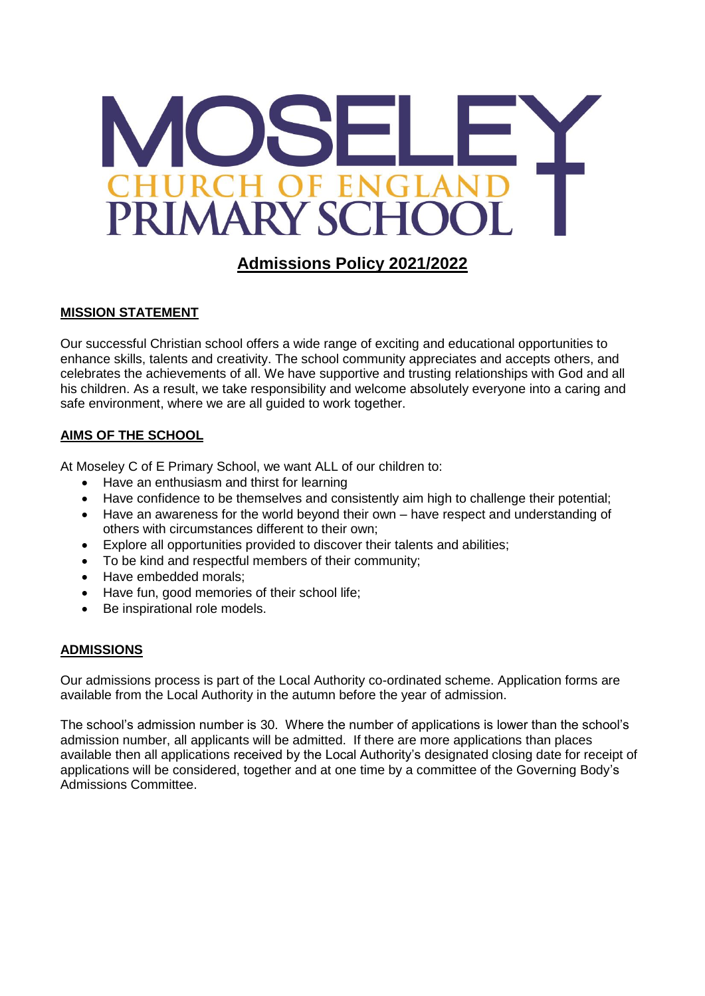

# **Admissions Policy 2021/2022**

## **MISSION STATEMENT**

Our successful Christian school offers a wide range of exciting and educational opportunities to enhance skills, talents and creativity. The school community appreciates and accepts others, and celebrates the achievements of all. We have supportive and trusting relationships with God and all his children. As a result, we take responsibility and welcome absolutely everyone into a caring and safe environment, where we are all guided to work together.

## **AIMS OF THE SCHOOL**

At Moseley C of E Primary School, we want ALL of our children to:

- Have an enthusiasm and thirst for learning
- Have confidence to be themselves and consistently aim high to challenge their potential;
- Have an awareness for the world beyond their own have respect and understanding of others with circumstances different to their own;
- Explore all opportunities provided to discover their talents and abilities;
- To be kind and respectful members of their community;
- Have embedded morals:
- Have fun, good memories of their school life;
- Be inspirational role models.

#### **ADMISSIONS**

Our admissions process is part of the Local Authority co-ordinated scheme. Application forms are available from the Local Authority in the autumn before the year of admission.

The school's admission number is 30. Where the number of applications is lower than the school's admission number, all applicants will be admitted. If there are more applications than places available then all applications received by the Local Authority's designated closing date for receipt of applications will be considered, together and at one time by a committee of the Governing Body's Admissions Committee.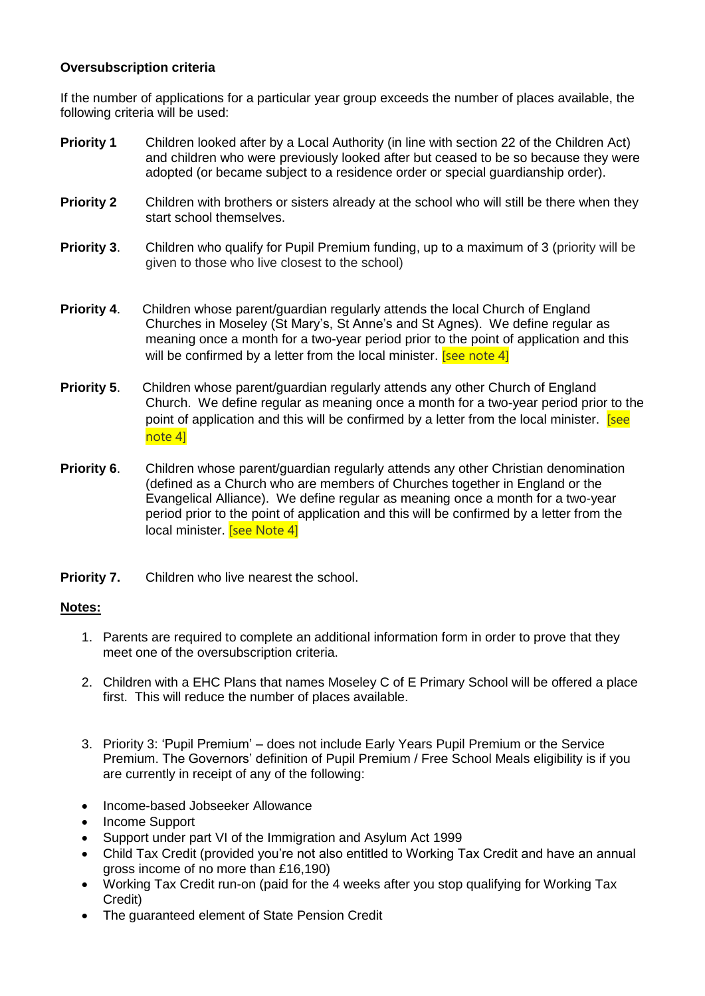#### **Oversubscription criteria**

If the number of applications for a particular year group exceeds the number of places available, the following criteria will be used:

- **Priority 1** Children looked after by a Local Authority (in line with section 22 of the Children Act) and children who were previously looked after but ceased to be so because they were adopted (or became subject to a residence order or special guardianship order).
- **Priority 2** Children with brothers or sisters already at the school who will still be there when they start school themselves.
- **Priority 3.** Children who qualify for Pupil Premium funding, up to a maximum of 3 (priority will be given to those who live closest to the school)
- **Priority 4**. Children whose parent/guardian regularly attends the local Church of England Churches in Moseley (St Mary's, St Anne's and St Agnes). We define regular as meaning once a month for a two-year period prior to the point of application and this will be confirmed by a letter from the local minister. **[see note 4]**
- **Priority 5**. Children whose parent/guardian regularly attends any other Church of England Church. We define regular as meaning once a month for a two-year period prior to the point of application and this will be confirmed by a letter from the local minister. **[see**] note 4]
- **Priority 6.** Children whose parent/guardian regularly attends any other Christian denomination (defined as a Church who are members of Churches together in England or the Evangelical Alliance). We define regular as meaning once a month for a two-year period prior to the point of application and this will be confirmed by a letter from the local minister. **[see Note 4]**
- **Priority 7.** Children who live nearest the school.

#### **Notes:**

- 1. Parents are required to complete an additional information form in order to prove that they meet one of the oversubscription criteria.
- 2. Children with a EHC Plans that names Moseley C of E Primary School will be offered a place first. This will reduce the number of places available.
- 3. Priority 3: 'Pupil Premium' does not include Early Years Pupil Premium or the Service Premium. The Governors' definition of Pupil Premium / Free School Meals eligibility is if you are currently in receipt of any of the following:
- Income-based Jobseeker Allowance
- Income Support
- Support under part VI of the Immigration and Asylum Act 1999
- Child Tax Credit (provided you're not also entitled to Working Tax Credit and have an annual gross income of no more than £16,190)
- Working Tax Credit run-on (paid for the 4 weeks after you stop qualifying for Working Tax Credit)
- The guaranteed element of State Pension Credit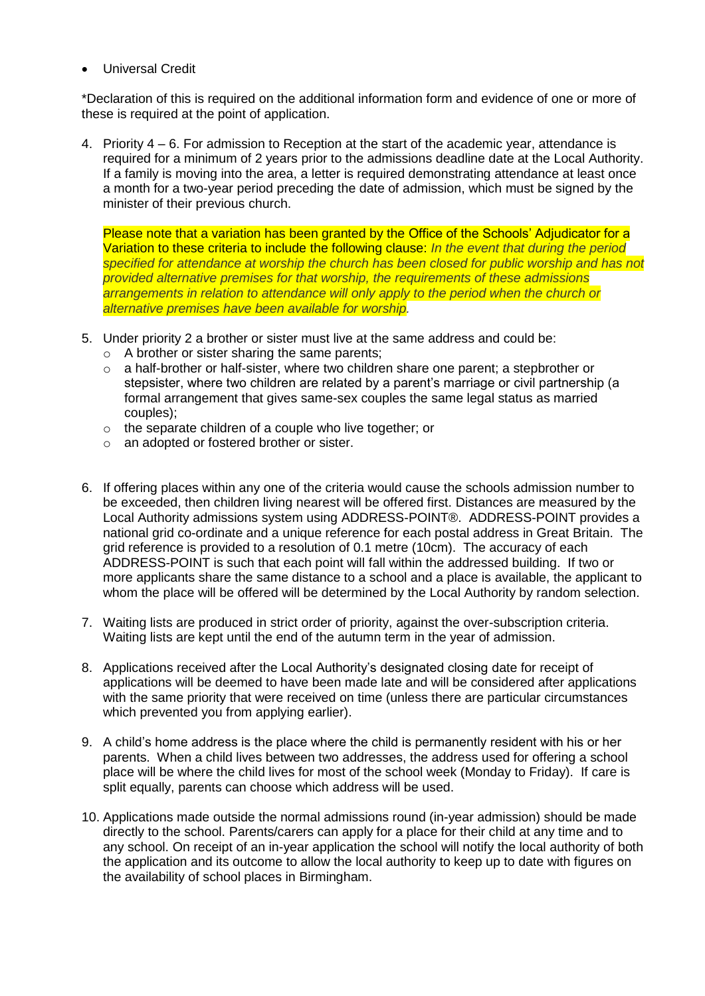Universal Credit

\*Declaration of this is required on the additional information form and evidence of one or more of these is required at the point of application.

4. Priority 4 – 6. For admission to Reception at the start of the academic year, attendance is required for a minimum of 2 years prior to the admissions deadline date at the Local Authority. If a family is moving into the area, a letter is required demonstrating attendance at least once a month for a two-year period preceding the date of admission, which must be signed by the minister of their previous church.

Please note that a variation has been granted by the Office of the Schools' Adjudicator for a Variation to these criteria to include the following clause: *In the event that during the period specified for attendance at worship the church has been closed for public worship and has not provided alternative premises for that worship, the requirements of these admissions arrangements in relation to attendance will only apply to the period when the church or alternative premises have been available for worship.*

- 5. Under priority 2 a brother or sister must live at the same address and could be:
	- o A brother or sister sharing the same parents;
	- $\circ$  a half-brother or half-sister, where two children share one parent; a stepbrother or stepsister, where two children are related by a parent's marriage or civil partnership (a formal arrangement that gives same-sex couples the same legal status as married couples);
	- o the separate children of a couple who live together; or
	- o an adopted or fostered brother or sister.
- 6. If offering places within any one of the criteria would cause the schools admission number to be exceeded, then children living nearest will be offered first. Distances are measured by the Local Authority admissions system using ADDRESS-POINT®. ADDRESS-POINT provides a national grid co-ordinate and a unique reference for each postal address in Great Britain. The grid reference is provided to a resolution of 0.1 metre (10cm). The accuracy of each ADDRESS-POINT is such that each point will fall within the addressed building. If two or more applicants share the same distance to a school and a place is available, the applicant to whom the place will be offered will be determined by the Local Authority by random selection.
- 7. Waiting lists are produced in strict order of priority, against the over-subscription criteria. Waiting lists are kept until the end of the autumn term in the year of admission.
- 8. Applications received after the Local Authority's designated closing date for receipt of applications will be deemed to have been made late and will be considered after applications with the same priority that were received on time (unless there are particular circumstances which prevented you from applying earlier).
- 9. A child's home address is the place where the child is permanently resident with his or her parents. When a child lives between two addresses, the address used for offering a school place will be where the child lives for most of the school week (Monday to Friday). If care is split equally, parents can choose which address will be used.
- 10. Applications made outside the normal admissions round (in-year admission) should be made directly to the school. Parents/carers can apply for a place for their child at any time and to any school. On receipt of an in-year application the school will notify the local authority of both the application and its outcome to allow the local authority to keep up to date with figures on the availability of school places in Birmingham.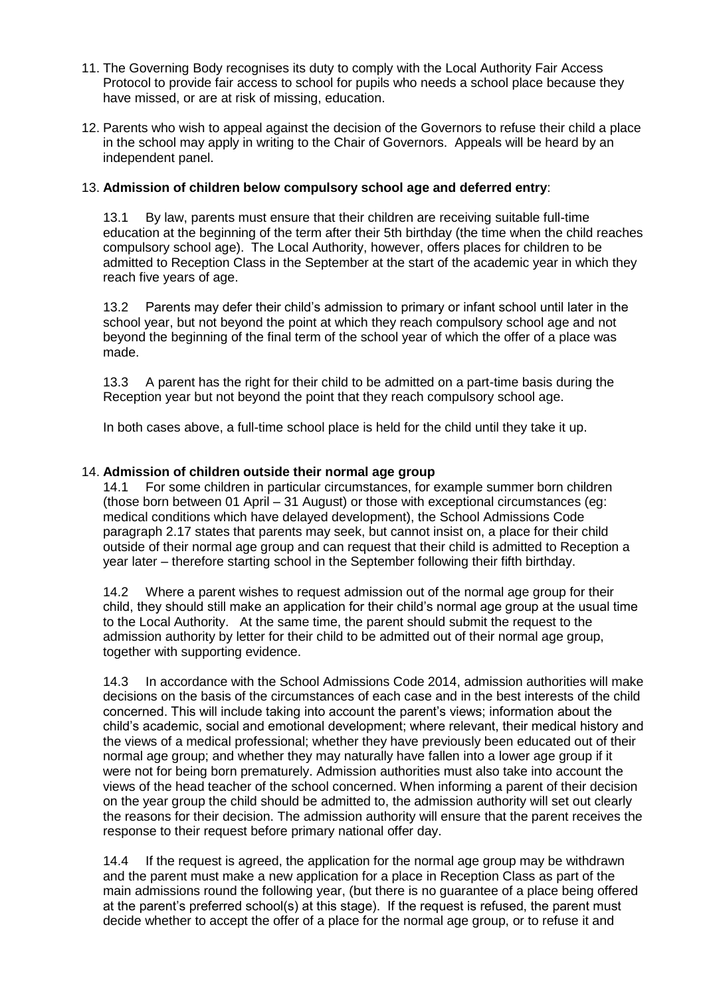- 11. The Governing Body recognises its duty to comply with the Local Authority Fair Access Protocol to provide fair access to school for pupils who needs a school place because they have missed, or are at risk of missing, education.
- 12. Parents who wish to appeal against the decision of the Governors to refuse their child a place in the school may apply in writing to the Chair of Governors. Appeals will be heard by an independent panel.

### 13. **Admission of children below compulsory school age and deferred entry**:

13.1 By law, parents must ensure that their children are receiving suitable full-time education at the beginning of the term after their 5th birthday (the time when the child reaches compulsory school age). The Local Authority, however, offers places for children to be admitted to Reception Class in the September at the start of the academic year in which they reach five years of age.

13.2 Parents may defer their child's admission to primary or infant school until later in the school year, but not beyond the point at which they reach compulsory school age and not beyond the beginning of the final term of the school year of which the offer of a place was made.

13.3 A parent has the right for their child to be admitted on a part-time basis during the Reception year but not beyond the point that they reach compulsory school age.

In both cases above, a full-time school place is held for the child until they take it up.

## 14. **Admission of children outside their normal age group**

14.1 For some children in particular circumstances, for example summer born children (those born between 01 April – 31 August) or those with exceptional circumstances (eg: medical conditions which have delayed development), the School Admissions Code paragraph 2.17 states that parents may seek, but cannot insist on, a place for their child outside of their normal age group and can request that their child is admitted to Reception a year later – therefore starting school in the September following their fifth birthday.

14.2 Where a parent wishes to request admission out of the normal age group for their child, they should still make an application for their child's normal age group at the usual time to the Local Authority. At the same time, the parent should submit the request to the admission authority by letter for their child to be admitted out of their normal age group, together with supporting evidence.

14.3 In accordance with the School Admissions Code 2014, admission authorities will make decisions on the basis of the circumstances of each case and in the best interests of the child concerned. This will include taking into account the parent's views; information about the child's academic, social and emotional development; where relevant, their medical history and the views of a medical professional; whether they have previously been educated out of their normal age group; and whether they may naturally have fallen into a lower age group if it were not for being born prematurely. Admission authorities must also take into account the views of the head teacher of the school concerned. When informing a parent of their decision on the year group the child should be admitted to, the admission authority will set out clearly the reasons for their decision. The admission authority will ensure that the parent receives the response to their request before primary national offer day.

14.4 If the request is agreed, the application for the normal age group may be withdrawn and the parent must make a new application for a place in Reception Class as part of the main admissions round the following year, (but there is no guarantee of a place being offered at the parent's preferred school(s) at this stage). If the request is refused, the parent must decide whether to accept the offer of a place for the normal age group, or to refuse it and